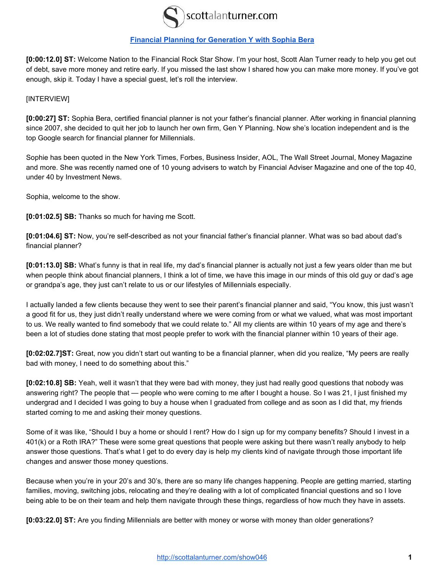

## **[Financial Planning for Generation Y with Sophia Bera](http://scottalanturner.com/show046)**

**[0:00:12.0] ST:** Welcome Nation to the Financial Rock Star Show. I'm your host, Scott Alan Turner ready to help you get out of debt, save more money and retire early. If you missed the last show I shared how you can make more money. If you've got enough, skip it. Today I have a special guest, let's roll the interview.

## [INTERVIEW]

**[0:00:27] ST:** Sophia Bera, certified financial planner is not your father's financial planner. After working in financial planning since 2007, she decided to quit her job to launch her own firm, Gen Y Planning. Now she's location independent and is the top Google search for financial planner for Millennials.

Sophie has been quoted in the New York Times, Forbes, Business Insider, AOL, The Wall Street Journal, Money Magazine and more. She was recently named one of 10 young advisers to watch by Financial Adviser Magazine and one of the top 40, under 40 by Investment News.

Sophia, welcome to the show.

**[0:01:02.5] SB:** Thanks so much for having me Scott.

[0:01:04.6] ST: Now, you're self-described as not your financial father's financial planner. What was so bad about dad's financial planner?

**[0:01:13.0] SB:** What's funny is that in real life, my dad's financial planner is actually not just a few years older than me but when people think about financial planners, I think a lot of time, we have this image in our minds of this old guy or dad's age or grandpa's age, they just can't relate to us or our lifestyles of Millennials especially.

I actually landed a few clients because they went to see their parent's financial planner and said, "You know, this just wasn't a good fit for us, they just didn't really understand where we were coming from or what we valued, what was most important to us. We really wanted to find somebody that we could relate to." All my clients are within 10 years of my age and there's been a lot of studies done stating that most people prefer to work with the financial planner within 10 years of their age.

**[0:02:02.7]ST:** Great, now you didn't start out wanting to be a financial planner, when did you realize, "My peers are really bad with money, I need to do something about this."

**[0:02:10.8] SB:** Yeah, well it wasn't that they were bad with money, they just had really good questions that nobody was answering right? The people that — people who were coming to me after I bought a house. So I was 21, I just finished my undergrad and I decided I was going to buy a house when I graduated from college and as soon as I did that, my friends started coming to me and asking their money questions.

Some of it was like, "Should I buy a home or should I rent? How do I sign up for my company benefits? Should I invest in a 401(k) or a Roth IRA?" These were some great questions that people were asking but there wasn't really anybody to help answer those questions. That's what I get to do every day is help my clients kind of navigate through those important life changes and answer those money questions.

Because when you're in your 20's and 30's, there are so many life changes happening. People are getting married, starting families, moving, switching jobs, relocating and they're dealing with a lot of complicated financial questions and so I love being able to be on their team and help them navigate through these things, regardless of how much they have in assets.

**[0:03:22.0] ST:** Are you finding Millennials are better with money or worse with money than older generations?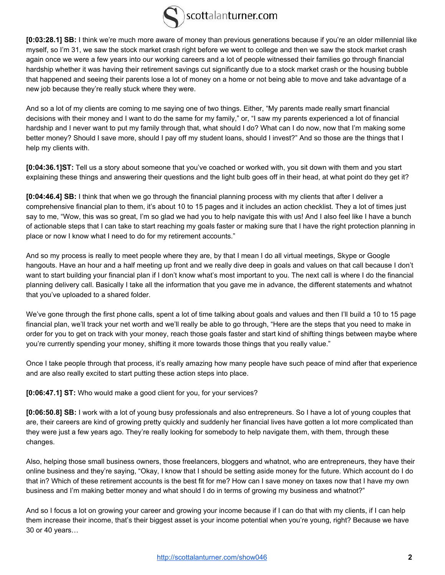

**[0:03:28.1] SB:** I think we're much more aware of money than previous generations because if you're an older millennial like myself, so I'm 31, we saw the stock market crash right before we went to college and then we saw the stock market crash again once we were a few years into our working careers and a lot of people witnessed their families go through financial hardship whether it was having their retirement savings cut significantly due to a stock market crash or the housing bubble that happened and seeing their parents lose a lot of money on a home or not being able to move and take advantage of a new job because they're really stuck where they were.

And so a lot of my clients are coming to me saying one of two things. Either, "My parents made really smart financial decisions with their money and I want to do the same for my family," or, "I saw my parents experienced a lot of financial hardship and I never want to put my family through that, what should I do? What can I do now, now that I'm making some better money? Should I save more, should I pay off my student loans, should I invest?" And so those are the things that I help my clients with.

**[0:04:36.1]ST:** Tell us a story about someone that you've coached or worked with, you sit down with them and you start explaining these things and answering their questions and the light bulb goes off in their head, at what point do they get it?

**[0:04:46.4] SB:** I think that when we go through the financial planning process with my clients that after I deliver a comprehensive financial plan to them, it's about 10 to 15 pages and it includes an action checklist. They a lot of times just say to me, "Wow, this was so great, I'm so glad we had you to help navigate this with us! And I also feel like I have a bunch of actionable steps that I can take to start reaching my goals faster or making sure that I have the right protection planning in place or now I know what I need to do for my retirement accounts."

And so my process is really to meet people where they are, by that I mean I do all virtual meetings, Skype or Google hangouts. Have an hour and a half meeting up front and we really dive deep in goals and values on that call because I don't want to start building your financial plan if I don't know what's most important to you. The next call is where I do the financial planning delivery call. Basically I take all the information that you gave me in advance, the different statements and whatnot that you've uploaded to a shared folder.

We've gone through the first phone calls, spent a lot of time talking about goals and values and then I'll build a 10 to 15 page financial plan, we'll track your net worth and we'll really be able to go through, "Here are the steps that you need to make in order for you to get on track with your money, reach those goals faster and start kind of shifting things between maybe where you're currently spending your money, shifting it more towards those things that you really value."

Once I take people through that process, it's really amazing how many people have such peace of mind after that experience and are also really excited to start putting these action steps into place.

**[0:06:47.1] ST:** Who would make a good client for you, for your services?

**[0:06:50.8] SB:** I work with a lot of young busy professionals and also entrepreneurs. So I have a lot of young couples that are, their careers are kind of growing pretty quickly and suddenly her financial lives have gotten a lot more complicated than they were just a few years ago. They're really looking for somebody to help navigate them, with them, through these changes.

Also, helping those small business owners, those freelancers, bloggers and whatnot, who are entrepreneurs, they have their online business and they're saying, "Okay, I know that I should be setting aside money for the future. Which account do I do that in? Which of these retirement accounts is the best fit for me? How can I save money on taxes now that I have my own business and I'm making better money and what should I do in terms of growing my business and whatnot?"

And so I focus a lot on growing your career and growing your income because if I can do that with my clients, if I can help them increase their income, that's their biggest asset is your income potential when you're young, right? Because we have 30 or 40 years…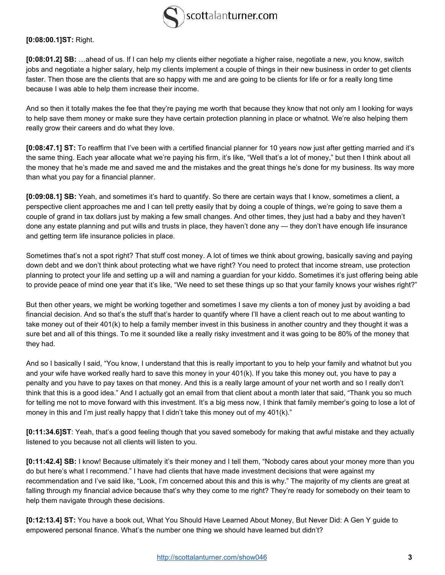

**[0:08:00.1]ST:** Right.

**[0:08:01.2] SB:** …ahead of us. If I can help my clients either negotiate a higher raise, negotiate a new, you know, switch jobs and negotiate a higher salary, help my clients implement a couple of things in their new business in order to get clients faster. Then those are the clients that are so happy with me and are going to be clients for life or for a really long time because I was able to help them increase their income.

And so then it totally makes the fee that they're paying me worth that because they know that not only am I looking for ways to help save them money or make sure they have certain protection planning in place or whatnot. We're also helping them really grow their careers and do what they love.

**[0:08:47.1] ST:** To reaffirm that I've been with a certified financial planner for 10 years now just after getting married and it's the same thing. Each year allocate what we're paying his firm, it's like, "Well that's a lot of money," but then I think about all the money that he's made me and saved me and the mistakes and the great things he's done for my business. Its way more than what you pay for a financial planner.

**[0:09:08.1] SB:** Yeah, and sometimes it's hard to quantify. So there are certain ways that I know, sometimes a client, a perspective client approaches me and I can tell pretty easily that by doing a couple of things, we're going to save them a couple of grand in tax dollars just by making a few small changes. And other times, they just had a baby and they haven't done any estate planning and put wills and trusts in place, they haven't done any — they don't have enough life insurance and getting term life insurance policies in place.

Sometimes that's not a spot right? That stuff cost money. A lot of times we think about growing, basically saving and paying down debt and we don't think about protecting what we have right? You need to protect that income stream, use protection planning to protect your life and setting up a will and naming a guardian for your kiddo. Sometimes it's just offering being able to provide peace of mind one year that it's like, "We need to set these things up so that your family knows your wishes right?"

But then other years, we might be working together and sometimes I save my clients a ton of money just by avoiding a bad financial decision. And so that's the stuff that's harder to quantify where I'll have a client reach out to me about wanting to take money out of their 401(k) to help a family member invest in this business in another country and they thought it was a sure bet and all of this things. To me it sounded like a really risky investment and it was going to be 80% of the money that they had.

And so I basically I said, "You know, I understand that this is really important to you to help your family and whatnot but you and your wife have worked really hard to save this money in your 401(k). If you take this money out, you have to pay a penalty and you have to pay taxes on that money. And this is a really large amount of your net worth and so I really don't think that this is a good idea." And I actually got an email from that client about a month later that said, "Thank you so much for telling me not to move forward with this investment. It's a big mess now, I think that family member's going to lose a lot of money in this and I'm just really happy that I didn't take this money out of my 401(k)."

**[0:11:34.6]ST**: Yeah, that's a good feeling though that you saved somebody for making that awful mistake and they actually listened to you because not all clients will listen to you.

**[0:11:42.4] SB:** I know! Because ultimately it's their money and I tell them, "Nobody cares about your money more than you do but here's what I recommend." I have had clients that have made investment decisions that were against my recommendation and I've said like, "Look, I'm concerned about this and this is why." The majority of my clients are great at falling through my financial advice because that's why they come to me right? They're ready for somebody on their team to help them navigate through these decisions.

**[0:12:13.4] ST:** You have a book out, What You Should Have Learned About Money, But Never Did: A Gen Y guide to empowered personal finance. What's the number one thing we should have learned but didn't?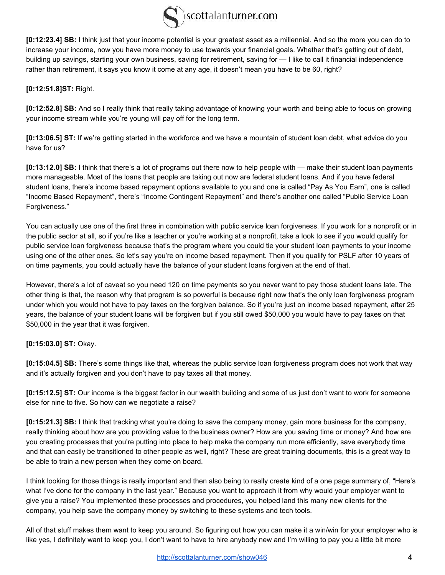

**[0:12:23.4] SB:** I think just that your income potential is your greatest asset as a millennial. And so the more you can do to increase your income, now you have more money to use towards your financial goals. Whether that's getting out of debt, building up savings, starting your own business, saving for retirement, saving for — I like to call it financial independence rather than retirement, it says you know it come at any age, it doesn't mean you have to be 60, right?

**[0:12:51.8]ST:** Right.

**[0:12:52.8] SB:** And so I really think that really taking advantage of knowing your worth and being able to focus on growing your income stream while you're young will pay off for the long term.

**[0:13:06.5] ST:** If we're getting started in the workforce and we have a mountain of student loan debt, what advice do you have for us?

**[0:13:12.0] SB:** I think that there's a lot of programs out there now to help people with — make their student loan payments more manageable. Most of the loans that people are taking out now are federal student loans. And if you have federal student loans, there's income based repayment options available to you and one is called "Pay As You Earn", one is called "Income Based Repayment", there's "Income Contingent Repayment" and there's another one called "Public Service Loan Forgiveness."

You can actually use one of the first three in combination with public service loan forgiveness. If you work for a nonprofit or in the public sector at all, so if you're like a teacher or you're working at a nonprofit, take a look to see if you would qualify for public service loan forgiveness because that's the program where you could tie your student loan payments to your income using one of the other ones. So let's say you're on income based repayment. Then if you qualify for PSLF after 10 years of on time payments, you could actually have the balance of your student loans forgiven at the end of that.

However, there's a lot of caveat so you need 120 on time payments so you never want to pay those student loans late. The other thing is that, the reason why that program is so powerful is because right now that's the only loan forgiveness program under which you would not have to pay taxes on the forgiven balance. So if you're just on income based repayment, after 25 years, the balance of your student loans will be forgiven but if you still owed \$50,000 you would have to pay taxes on that \$50,000 in the year that it was forgiven.

**[0:15:03.0] ST:** Okay.

**[0:15:04.5] SB:** There's some things like that, whereas the public service loan forgiveness program does not work that way and it's actually forgiven and you don't have to pay taxes all that money.

**[0:15:12.5] ST:** Our income is the biggest factor in our wealth building and some of us just don't want to work for someone else for nine to five. So how can we negotiate a raise?

**[0:15:21.3] SB:** I think that tracking what you're doing to save the company money, gain more business for the company, really thinking about how are you providing value to the business owner? How are you saving time or money? And how are you creating processes that you're putting into place to help make the company run more efficiently, save everybody time and that can easily be transitioned to other people as well, right? These are great training documents, this is a great way to be able to train a new person when they come on board.

I think looking for those things is really important and then also being to really create kind of a one page summary of, "Here's what I've done for the company in the last year." Because you want to approach it from why would your employer want to give you a raise? You implemented these processes and procedures, you helped land this many new clients for the company, you help save the company money by switching to these systems and tech tools.

All of that stuff makes them want to keep you around. So figuring out how you can make it a win/win for your employer who is like yes, I definitely want to keep you, I don't want to have to hire anybody new and I'm willing to pay you a little bit more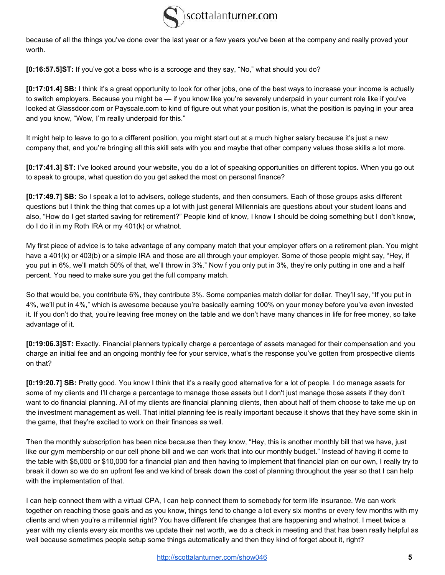

because of all the things you've done over the last year or a few years you've been at the company and really proved your worth.

**[0:16:57.5]ST:** If you've got a boss who is a scrooge and they say, "No," what should you do?

**[0:17:01.4] SB:** I think it's a great opportunity to look for other jobs, one of the best ways to increase your income is actually to switch employers. Because you might be — if you know like you're severely underpaid in your current role like if you've looked at Glassdoor.com or Payscale.com to kind of figure out what your position is, what the position is paying in your area and you know, "Wow, I'm really underpaid for this."

It might help to leave to go to a different position, you might start out at a much higher salary because it's just a new company that, and you're bringing all this skill sets with you and maybe that other company values those skills a lot more.

**[0:17:41.3] ST:** I've looked around your website, you do a lot of speaking opportunities on different topics. When you go out to speak to groups, what question do you get asked the most on personal finance?

**[0:17:49.7] SB:** So I speak a lot to advisers, college students, and then consumers. Each of those groups asks different questions but I think the thing that comes up a lot with just general Millennials are questions about your student loans and also, "How do I get started saving for retirement?" People kind of know, I know I should be doing something but I don't know, do I do it in my Roth IRA or my 401(k) or whatnot.

My first piece of advice is to take advantage of any company match that your employer offers on a retirement plan. You might have a 401(k) or 403(b) or a simple IRA and those are all through your employer. Some of those people might say, "Hey, if you put in 6%, we'll match 50% of that, we'll throw in 3%." Now f you only put in 3%, they're only putting in one and a half percent. You need to make sure you get the full company match.

So that would be, you contribute 6%, they contribute 3%. Some companies match dollar for dollar. They'll say, "If you put in 4%, we'll put in 4%," which is awesome because you're basically earning 100% on your money before you've even invested it. If you don't do that, you're leaving free money on the table and we don't have many chances in life for free money, so take advantage of it.

**[0:19:06.3]ST:** Exactly. Financial planners typically charge a percentage of assets managed for their compensation and you charge an initial fee and an ongoing monthly fee for your service, what's the response you've gotten from prospective clients on that?

**[0:19:20.7] SB:** Pretty good. You know I think that it's a really good alternative for a lot of people. I do manage assets for some of my clients and I'll charge a percentage to manage those assets but I don't just manage those assets if they don't want to do financial planning. All of my clients are financial planning clients, then about half of them choose to take me up on the investment management as well. That initial planning fee is really important because it shows that they have some skin in the game, that they're excited to work on their finances as well.

Then the monthly subscription has been nice because then they know, "Hey, this is another monthly bill that we have, just like our gym membership or our cell phone bill and we can work that into our monthly budget." Instead of having it come to the table with \$5,000 or \$10,000 for a financial plan and then having to implement that financial plan on our own, I really try to break it down so we do an upfront fee and we kind of break down the cost of planning throughout the year so that I can help with the implementation of that.

I can help connect them with a virtual CPA, I can help connect them to somebody for term life insurance. We can work together on reaching those goals and as you know, things tend to change a lot every six months or every few months with my clients and when you're a millennial right? You have different life changes that are happening and whatnot. I meet twice a year with my clients every six months we update their net worth, we do a check in meeting and that has been really helpful as well because sometimes people setup some things automatically and then they kind of forget about it, right?